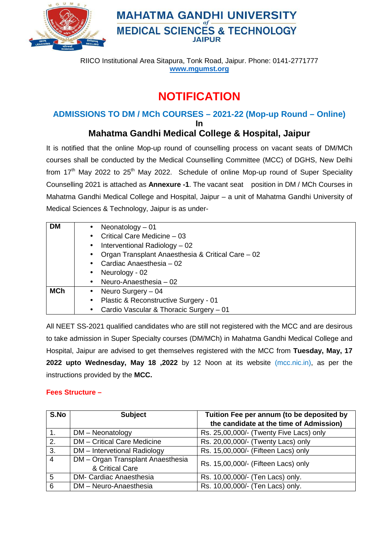

## **MAHATMA GANDHI UNIVERSITY MEDICAL SCIENCES & TECHNOLOGY JAIPUR**

RIICO Institutional Area Sitapura, Tonk Road, Jaipur. Phone: 0141-2771777 **www.mgumst.org**

# **NOTIFICATION**

### **ADMISSIONS TO DM / MCh COURSES – 2021-22 (Mop-up Round – Online) In**

### **Mahatma Gandhi Medical College & Hospital, Jaipur**

It is notified that the online Mop-up round of counselling process on vacant seats of DM/MCh courses shall be conducted by the Medical Counselling Committee (MCC) of DGHS, New Delhi from  $17<sup>th</sup>$  May 2022 to  $25<sup>th</sup>$  May 2022. Schedule of online Mop-up round of Super Speciality Counselling 2021 is attached as **Annexure -1**. The vacant seat position in DM / MCh Courses in Mahatma Gandhi Medical College and Hospital, Jaipur – a unit of Mahatma Gandhi University of Medical Sciences & Technology, Jaipur is as under-

| <b>DM</b>  | • Neonatology $-01$                               |                                           |  |  |  |  |
|------------|---------------------------------------------------|-------------------------------------------|--|--|--|--|
|            |                                                   | • Critical Care Medicine $-03$            |  |  |  |  |
|            | $\bullet$ Interventional Radiology – 02           |                                           |  |  |  |  |
|            | Organ Transplant Anaesthesia & Critical Care - 02 |                                           |  |  |  |  |
|            | • Cardiac Anaesthesia $-02$                       |                                           |  |  |  |  |
|            | Neurology - 02<br>$\bullet$                       |                                           |  |  |  |  |
|            |                                                   | • Neuro-Anaesthesia $-02$                 |  |  |  |  |
| <b>MCh</b> |                                                   | • Neuro Surgery $-04$                     |  |  |  |  |
|            |                                                   | • Plastic & Reconstructive Surgery - 01   |  |  |  |  |
|            |                                                   | • Cardio Vascular & Thoracic Surgery - 01 |  |  |  |  |

All NEET SS-2021 qualified candidates who are still not registered with the MCC and are desirous to take admission in Super Specialty courses (DM/MCh) in Mahatma Gandhi Medical College and Hospital, Jaipur are advised to get themselves registered with the MCC from **Tuesday, May, 17 2022 upto Wednesday, May 18 ,2022** by 12 Noon at its website (mcc.nic.in), as per the instructions provided by the **MCC.** 

### **Fees Structure –**

| S.No             | <b>Subject</b>                                       | Tuition Fee per annum (to be deposited by |  |  |
|------------------|------------------------------------------------------|-------------------------------------------|--|--|
|                  |                                                      | the candidate at the time of Admission)   |  |  |
|                  | DM - Neonatology                                     | Rs. 25,00,000/- (Twenty Five Lacs) only   |  |  |
| 2.               | <b>DM</b> - Critical Care Medicine                   | Rs. 20,00,000/- (Twenty Lacs) only        |  |  |
| 3.               | DM - Intervetional Radiology                         | Rs. 15,00,000/- (Fifteen Lacs) only       |  |  |
| $\boldsymbol{4}$ | DM - Organ Transplant Anaesthesia<br>& Critical Care | Rs. 15,00,000/- (Fifteen Lacs) only       |  |  |
| 5                | <b>DM- Cardiac Anaesthesia</b>                       | Rs. 10,00,000/- (Ten Lacs) only.          |  |  |
| 6                | DM - Neuro-Anaesthesia                               | Rs. 10,00,000/- (Ten Lacs) only.          |  |  |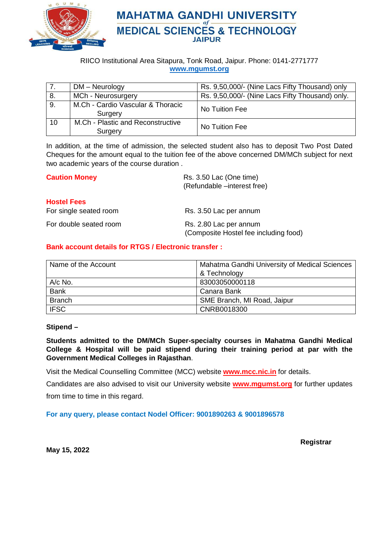

### **MAHATMA GANDHI UNIVERSITY MEDICAL SCIENCES & TECHNOLOGY JAIPUR**

RIICO Institutional Area Sitapura, Tonk Road, Jaipur. Phone: 0141-2771777 **www.mgumst.org**

|    | DM - Neurology                               | Rs. 9,50,000/- (Nine Lacs Fifty Thousand) only  |
|----|----------------------------------------------|-------------------------------------------------|
| 8. | MCh - Neurosurgery                           | Rs. 9,50,000/- (Nine Lacs Fifty Thousand) only. |
| 9. | M.Ch - Cardio Vascular & Thoracic<br>Surgery | No Tuition Fee                                  |
| 10 | M.Ch - Plastic and Reconstructive<br>Surgery | No Tuition Fee                                  |

In addition, at the time of admission, the selected student also has to deposit Two Post Dated Cheques for the amount equal to the tuition fee of the above concerned DM/MCh subject for next two academic years of the course duration .

| <b>Caution Money</b>                         | Rs. 3.50 Lac (One time)<br>(Refundable -interest free)          |  |  |
|----------------------------------------------|-----------------------------------------------------------------|--|--|
| <b>Hostel Fees</b><br>For single seated room | Rs. 3.50 Lac per annum                                          |  |  |
| For double seated room                       | Rs. 2.80 Lac per annum<br>(Composite Hostel fee including food) |  |  |

#### **Bank account details for RTGS / Electronic transfer :**

| Name of the Account | Mahatma Gandhi University of Medical Sciences |  |  |
|---------------------|-----------------------------------------------|--|--|
|                     | & Technology                                  |  |  |
| $A/c$ No.           | 83003050000118                                |  |  |
| <b>Bank</b>         | Canara Bank                                   |  |  |
| <b>Branch</b>       | SME Branch, MI Road, Jaipur                   |  |  |
| <b>IFSC</b>         | CNRB0018300                                   |  |  |

#### **Stipend –**

**Students admitted to the DM/MCh Super-specialty courses in Mahatma Gandhi Medical College & Hospital will be paid stipend during their training period at par with the Government Medical Colleges in Rajasthan**.

Visit the Medical Counselling Committee (MCC) website **www.mcc.nic.in** for details.

Candidates are also advised to visit our University website **www.mgumst.org** for further updates from time to time in this regard.

#### **For any query, please contact Nodel Officer: 9001890263 & 9001896578**

 **Registrar** 

**May 15, 2022**